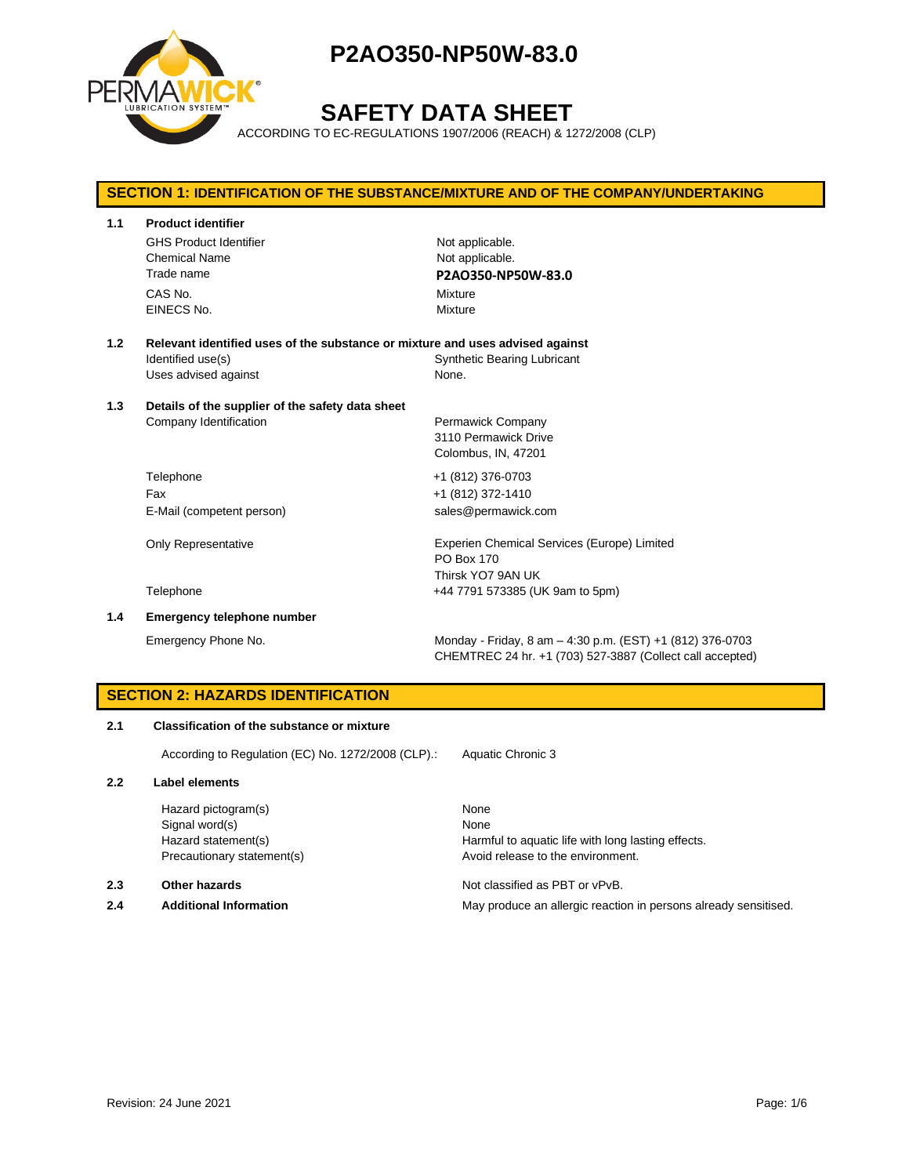

# **SAFETY DATA SHEET**

ACCORDING TO EC-REGULATIONS 1907/2006 (REACH) & 1272/2008 (CLP)

## **SECTION 1: IDENTIFICATION OF THE SUBSTANCE/MIXTURE AND OF THE COMPANY/UNDERTAKING 1.1 Product identifier** GHS Product Identifier Not applicable. Chemical Name Not applicable. Trade name **P2AO350-NP50W-83.0** CAS No. 2008 2012 12:30 Mixture EINECS No. 2008 2009 2009 2009 2009 2009 2012 2022 2030 2040 2052 2053 2062 2073 2074 2075 2076 2077 2078 2079 **1.2 Relevant identified uses of the substance or mixture and uses advised against** Identified use(s) Synthetic Bearing Lubricant Uses advised against None. **1.3 Details of the supplier of the safety data sheet** Company Identification **Permawick Company** 3110 Permawick Drive Colombus, IN, 47201 Telephone +1 (812) 376-0703 Fax +1 (812) 372-1410 E-Mail (competent person) sales@permawick.com Only Representative Experien Chemical Services (Europe) Limited PO Box 170 Thirsk YO7 9AN UK Telephone +44 7791 573385 (UK 9am to 5pm) **1.4 Emergency telephone number**

Emergency Phone No. Monday - Friday, 8 am – 4:30 p.m. (EST) +1 (812) 376-0703 CHEMTREC 24 hr. +1 (703) 527-3887 (Collect call accepted)

## **SECTION 2: HAZARDS IDENTIFICATION**

## **2.1 Classification of the substance or mixture**

According to Regulation (EC) No. 1272/2008 (CLP).: Aquatic Chronic 3

#### **2.2 Label elements**

Hazard pictogram(s) None Signal word(s) None

#### **2.3 Other hazards Detection According to the COVID-100 COVID-100 Motion COVID-100 Not classified as PBT or vPvB.**

Hazard statement(s) example a Harmful to aquatic life with long lasting effects. Precautionary statement(s) example a method of the environment.

**2.4 Additional Information** May produce an allergic reaction in persons already sensitised.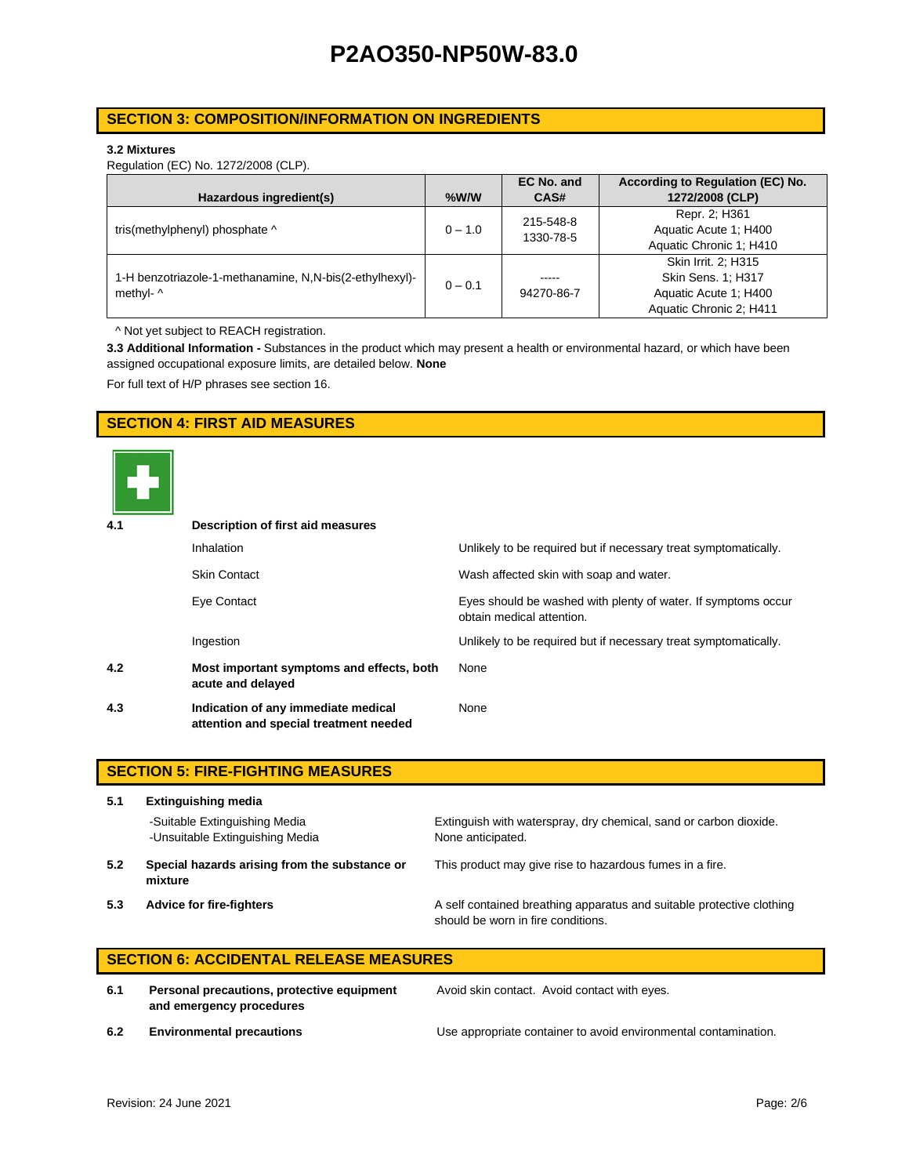## **SECTION 3: COMPOSITION/INFORMATION ON INGREDIENTS**

#### **3.2 Mixtures**

Regulation (EC) No. 1272/2008 (CLP).

|                                                         |           | EC No. and | According to Regulation (EC) No. |
|---------------------------------------------------------|-----------|------------|----------------------------------|
| Hazardous ingredient(s)                                 | $%$ W/W   | CAS#       | 1272/2008 (CLP)                  |
|                                                         |           | 215-548-8  | Repr. 2; H361                    |
| tris(methylphenyl) phosphate ^                          | $0 - 1.0$ | 1330-78-5  | Aquatic Acute 1: H400            |
|                                                         |           |            | Aquatic Chronic 1; H410          |
|                                                         |           |            | Skin Irrit. 2: H315              |
| 1-H benzotriazole-1-methanamine, N,N-bis(2-ethylhexyl)- | $0 - 0.1$ | -----      | Skin Sens. 1; H317               |
| methyl- ^                                               |           | 94270-86-7 | Aquatic Acute 1: H400            |
|                                                         |           |            | Aquatic Chronic 2; H411          |

^ Not yet subject to REACH registration.

**3.3 Additional Information -** Substances in the product which may present a health or environmental hazard, or which have been assigned occupational exposure limits, are detailed below. **None**

For full text of H/P phrases see section 16.

## **SECTION 4: FIRST AID MEASURES**



| 4.1 | Description of first aid measures                                             |                                                                                            |  |  |  |
|-----|-------------------------------------------------------------------------------|--------------------------------------------------------------------------------------------|--|--|--|
|     | <b>Inhalation</b>                                                             | Unlikely to be required but if necessary treat symptomatically.                            |  |  |  |
|     | <b>Skin Contact</b>                                                           | Wash affected skin with soap and water.                                                    |  |  |  |
|     | Eye Contact                                                                   | Eyes should be washed with plenty of water. If symptoms occur<br>obtain medical attention. |  |  |  |
|     | Ingestion                                                                     | Unlikely to be required but if necessary treat symptomatically.                            |  |  |  |
| 4.2 | Most important symptoms and effects, both<br>acute and delayed                | None                                                                                       |  |  |  |
| 4.3 | Indication of any immediate medical<br>attention and special treatment needed | None                                                                                       |  |  |  |

|     | <b>SECTION 5: FIRE-FIGHTING MEASURES</b>                         |                                                                                                             |  |  |
|-----|------------------------------------------------------------------|-------------------------------------------------------------------------------------------------------------|--|--|
| 5.1 | <b>Extinguishing media</b>                                       |                                                                                                             |  |  |
|     | -Suitable Extinguishing Media<br>-Unsuitable Extinguishing Media | Extinguish with waterspray, dry chemical, sand or carbon dioxide.<br>None anticipated.                      |  |  |
| 5.2 | Special hazards arising from the substance or<br>mixture         | This product may give rise to hazardous fumes in a fire.                                                    |  |  |
| 5.3 | <b>Advice for fire-fighters</b>                                  | A self contained breathing apparatus and suitable protective clothing<br>should be worn in fire conditions. |  |  |

## **SECTION 6: ACCIDENTAL RELEASE MEASURES**

**6.1 Personal precautions, protective equipment and emergency procedures**

Avoid skin contact. Avoid contact with eyes.

**6.2 Environmental precautions** Use appropriate container to avoid environmental contamination.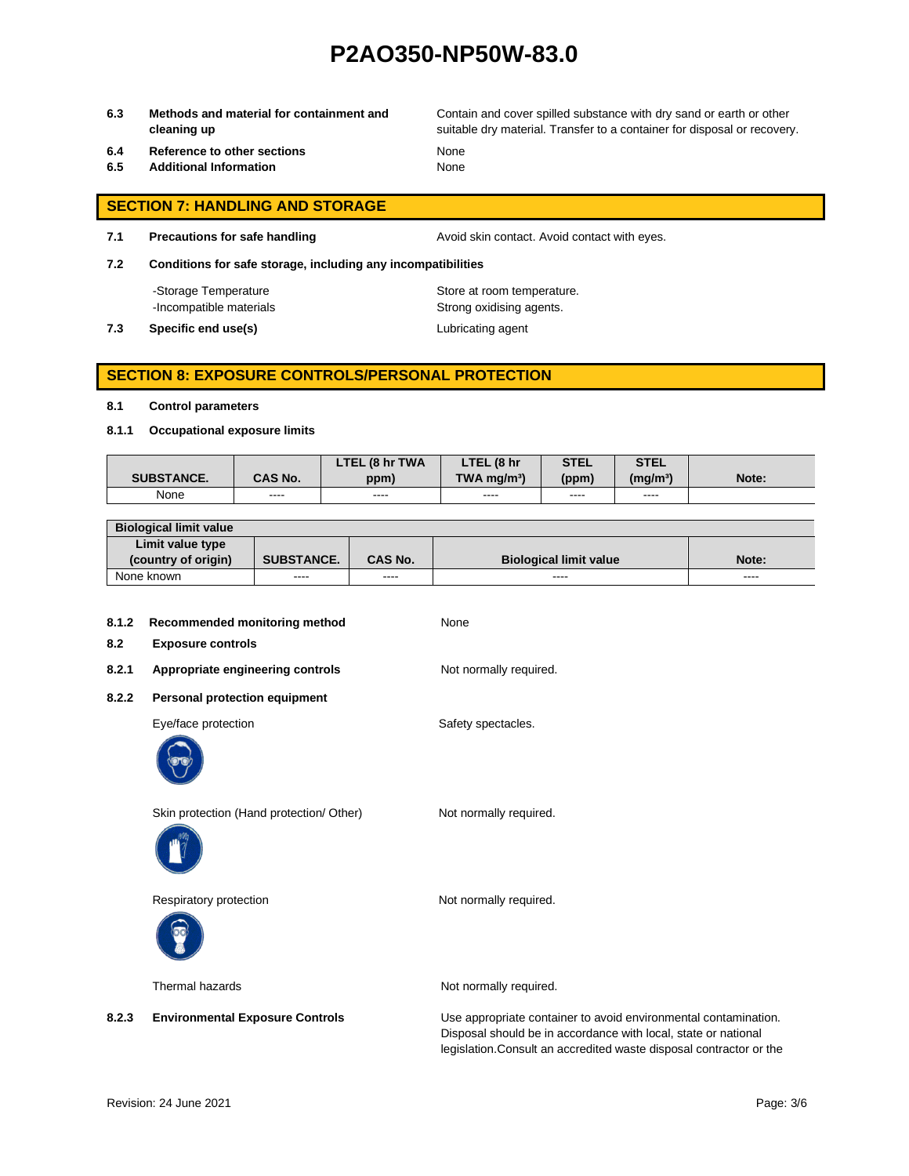**6.3 Methods and material for containment and cleaning up**

Contain and cover spilled substance with dry sand or earth or other suitable dry material. Transfer to a container for disposal or recovery.

- **6.4 Reference to other sections** None
- **6.5 Additional Information** None

- **SECTION 7: HANDLING AND STORAGE**
- 

**7.1 Precautions for safe handling Avoid skin contact. Avoid contact with eyes.** 

**7.2 Conditions for safe storage, including any incompatibilities**

-Storage Temperature **Store at room temperature.** 

-Incompatible materials **Strong oxidising agents**.

**7.3 Specific end use(s)** Lubricating agent

## **SECTION 8: EXPOSURE CONTROLS/PERSONAL PROTECTION**

#### **8.1 Control parameters**

**8.1.1 Occupational exposure limits**

|                   |                | LTEL (8 hr TWA | LTEL (8 hr                | <b>STEL</b> | <b>STEL</b>          |       |
|-------------------|----------------|----------------|---------------------------|-------------|----------------------|-------|
| <b>SUBSTANCE.</b> | <b>CAS No.</b> | ppm)           | $TWA$ ma/m <sup>3</sup> ) | (ppm)       | (mg/m <sup>3</sup> ) | Note: |
| None              | ----           | ----           | ----                      | ----        | ----                 |       |

| <b>Biological limit value</b> |                   |                |                               |               |
|-------------------------------|-------------------|----------------|-------------------------------|---------------|
| Limit value type              |                   |                |                               |               |
| (country of origin)           | <b>SUBSTANCE.</b> | <b>CAS No.</b> | <b>Biological limit value</b> | Note:         |
| None known                    | ----              | ----           | ----                          | $\frac{1}{2}$ |

| 8.1.2<br>8.2 | Recommended monitoring method<br><b>Exposure controls</b> | None                                                                                                                              |
|--------------|-----------------------------------------------------------|-----------------------------------------------------------------------------------------------------------------------------------|
| 8.2.1        | Appropriate engineering controls                          | Not normally required.                                                                                                            |
| 8.2.2        | <b>Personal protection equipment</b>                      |                                                                                                                                   |
|              | Eye/face protection                                       | Safety spectacles.                                                                                                                |
|              | Skin protection (Hand protection/ Other)                  | Not normally required.                                                                                                            |
|              | Respiratory protection                                    | Not normally required.                                                                                                            |
|              | Thermal hazards                                           | Not normally required.                                                                                                            |
| 8.2.3        | <b>Environmental Exposure Controls</b>                    | Use appropriate container to avoid environmental contamination.<br>Disposal should be in accordance with local, state or national |

legislation.Consult an accredited waste disposal contractor or the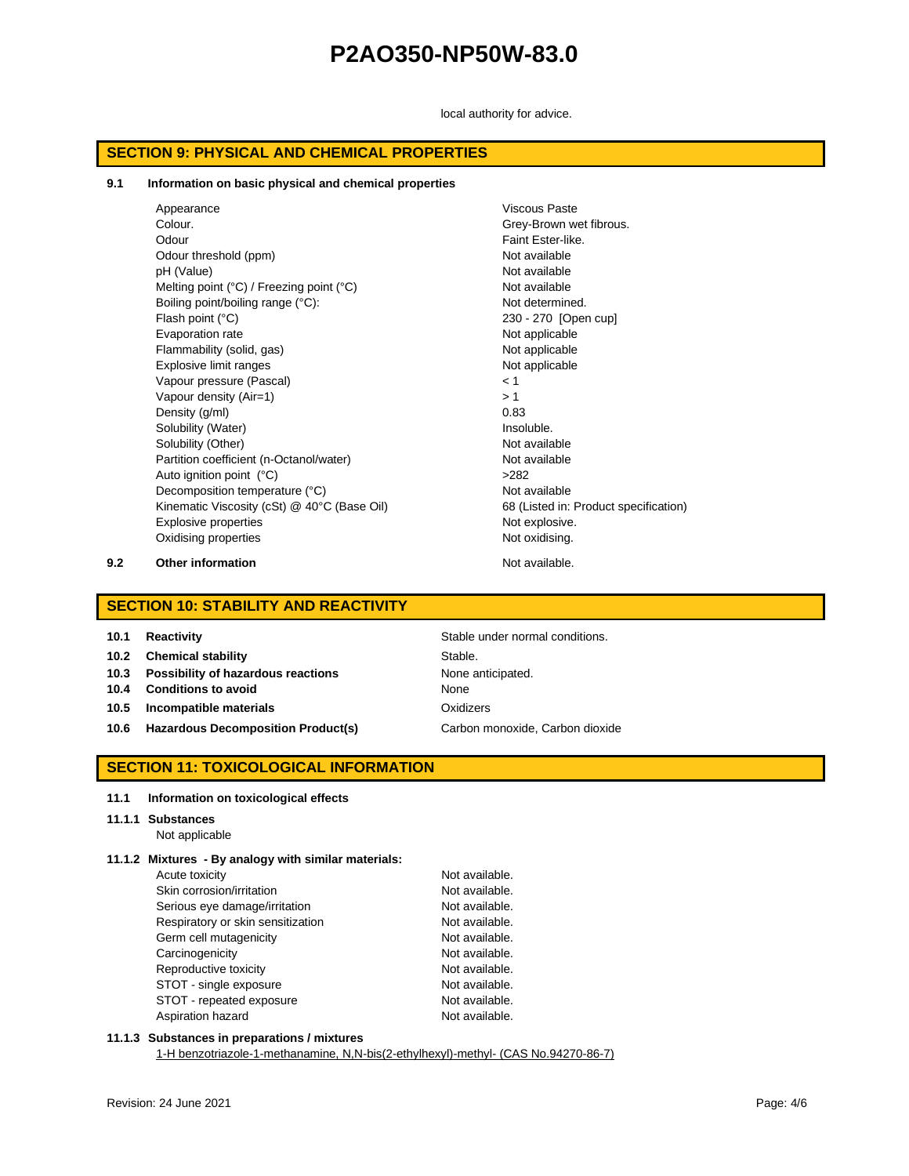local authority for advice.

## **SECTION 9: PHYSICAL AND CHEMICAL PROPERTIES**

#### **9.1 Information on basic physical and chemical properties**

Appearance Viscous Paste Colour. Grey-Brown wet fibrous. Odour Faint Ester-like. Odour threshold (ppm) Not available pH (Value) Not available Melting point (°C) / Freezing point (°C) Not available Boiling point/boiling range (°C): Not determined. Flash point (°C) 230 - 270 [Open cup] Evaporation rate **Not applicable** Not applicable Flammability (solid, gas) Not applicable Explosive limit ranges Not applicable Vapour pressure (Pascal) < 1 Vapour density  $(Air=1)$   $> 1$ Density  $(q/ml)$  0.83 Solubility (Water) and the soluble soluble. Solubility (Other) Not available Partition coefficient (n-Octanol/water) Not available Auto ignition point (°C)  $>282$ Decomposition temperature (°C) Not available Kinematic Viscosity (cSt) @ 40°C (Base Oil) 68 (Listed in: Product specification) Explosive properties Not explosive. Oxidising properties Not oxidising.

**9.2 Other information Not available.** 

## **SECTION 10: STABILITY AND REACTIVITY**

| 10.1 | <b>Reactivity</b> |
|------|-------------------|
|------|-------------------|

**10.2 Chemical stability** Stable.

- **10.3 Possibility of hazardous reactions** None anticipated.
- **10.4 Conditions to avoid None** None
- **10.5 Incompatible materials Calculated Example 20 and Data Control of Algorithment Oxidizers**
- **10.6 Hazardous Decomposition Product(s)** Carbon monoxide, Carbon dioxide

**Stable under normal conditions.** 

## **SECTION 11: TOXICOLOGICAL INFORMATION**

#### **11.1 Information on toxicological effects**

#### **11.1.1 Substances**

Not applicable

## **11.1.2 Mixtures - By analogy with similar materials:**

| Acute toxicity                    | Not available. |
|-----------------------------------|----------------|
| Skin corrosion/irritation         | Not available. |
| Serious eye damage/irritation     | Not available. |
| Respiratory or skin sensitization | Not available. |
| Germ cell mutagenicity            | Not available. |
| Carcinogenicity                   | Not available. |
| Reproductive toxicity             | Not available. |
| STOT - single exposure            | Not available. |
| STOT - repeated exposure          | Not available. |
| Aspiration hazard                 | Not available. |

#### **11.1.3 Substances in preparations / mixtures**

1-H benzotriazole-1-methanamine, N,N-bis(2-ethylhexyl)-methyl- (CAS No.94270-86-7)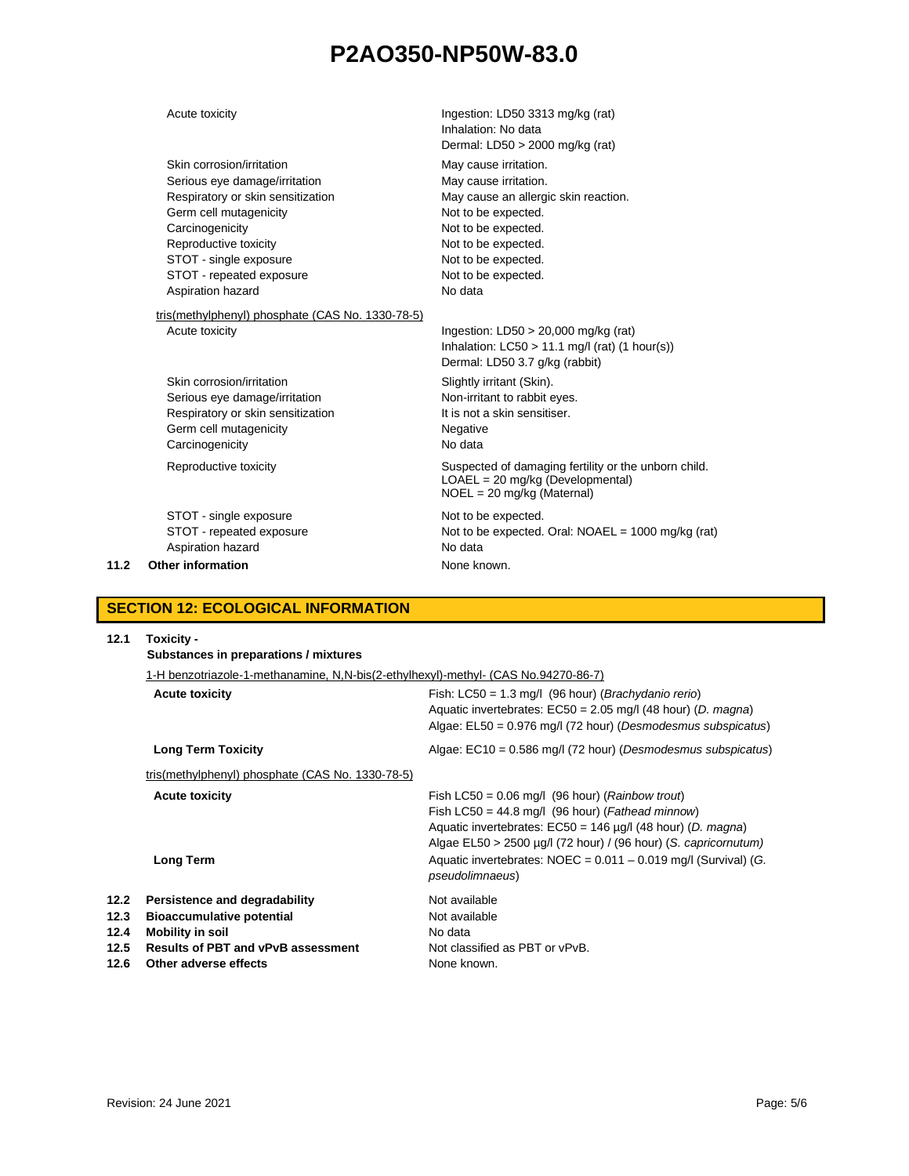|      | Acute toxicity                                   | Ingestion: LD50 3313 mg/kg (rat)<br>Inhalation: No data<br>Dermal: $LD50 > 2000$ mg/kg (rat)                                 |
|------|--------------------------------------------------|------------------------------------------------------------------------------------------------------------------------------|
|      | Skin corrosion/irritation                        | May cause irritation.                                                                                                        |
|      | Serious eye damage/irritation                    | May cause irritation.                                                                                                        |
|      | Respiratory or skin sensitization                | May cause an allergic skin reaction.                                                                                         |
|      | Germ cell mutagenicity                           | Not to be expected.                                                                                                          |
|      | Carcinogenicity                                  | Not to be expected.                                                                                                          |
|      | Reproductive toxicity                            | Not to be expected.                                                                                                          |
|      | STOT - single exposure                           | Not to be expected.                                                                                                          |
|      | STOT - repeated exposure                         | Not to be expected.                                                                                                          |
|      | Aspiration hazard                                | No data                                                                                                                      |
|      | tris(methylphenyl) phosphate (CAS No. 1330-78-5) |                                                                                                                              |
|      | Acute toxicity                                   | Ingestion: $LD50 > 20,000$ mg/kg (rat)<br>Inhalation: $LC50 > 11.1$ mg/l (rat) (1 hour(s))<br>Dermal: LD50 3.7 g/kg (rabbit) |
|      | Skin corrosion/irritation                        | Slightly irritant (Skin).                                                                                                    |
|      | Serious eye damage/irritation                    | Non-irritant to rabbit eyes.                                                                                                 |
|      | Respiratory or skin sensitization                | It is not a skin sensitiser.                                                                                                 |
|      | Germ cell mutagenicity                           | Negative                                                                                                                     |
|      | Carcinogenicity                                  | No data                                                                                                                      |
|      | Reproductive toxicity                            | Suspected of damaging fertility or the unborn child.<br>$LOAEL = 20$ mg/kg (Developmental)<br>$NOEL = 20$ mg/kg (Maternal)   |
|      | STOT - single exposure                           | Not to be expected.                                                                                                          |
|      | STOT - repeated exposure                         | Not to be expected. Oral: NOAEL = 1000 mg/kg (rat)                                                                           |
|      | Aspiration hazard                                | No data                                                                                                                      |
| 11.2 | Other information                                | None known.                                                                                                                  |
|      |                                                  |                                                                                                                              |

## **SECTION 12: ECOLOGICAL INFORMATION**

| 12.1                                 | Toxicity -<br>Substances in preparations / mixtures                                                                                                                |                                                                                                                                                                                                                                                            |  |  |  |
|--------------------------------------|--------------------------------------------------------------------------------------------------------------------------------------------------------------------|------------------------------------------------------------------------------------------------------------------------------------------------------------------------------------------------------------------------------------------------------------|--|--|--|
|                                      | 1-H benzotriazole-1-methanamine, N,N-bis(2-ethylhexyl)-methyl- (CAS No.94270-86-7)                                                                                 |                                                                                                                                                                                                                                                            |  |  |  |
|                                      | <b>Acute toxicity</b>                                                                                                                                              | Fish: $LC50 = 1.3$ mg/l (96 hour) ( <i>Brachydanio rerio</i> )<br>Aquatic invertebrates: $EC50 = 2.05$ mg/l (48 hour) (D. magna)<br>Algae: $E L50 = 0.976$ mg/l (72 hour) (Desmodesmus subspicatus)                                                        |  |  |  |
|                                      | <b>Long Term Toxicity</b>                                                                                                                                          | Algae: $EC10 = 0.586$ mg/l (72 hour) (Desmodesmus subspicatus)                                                                                                                                                                                             |  |  |  |
|                                      | tris(methylphenyl) phosphate (CAS No. 1330-78-5)                                                                                                                   |                                                                                                                                                                                                                                                            |  |  |  |
|                                      | <b>Acute toxicity</b>                                                                                                                                              | Fish LC50 = $0.06$ mg/l (96 hour) ( <i>Rainbow trout</i> )<br>Fish LC50 = 44.8 mg/l (96 hour) (Fathead minnow)<br>Aquatic invertebrates: $EC50 = 146 \mu g/l$ (48 hour) (D. magna)<br>Algae $EL50 > 2500 \mu g/l$ (72 hour) / (96 hour) (S. capricornutum) |  |  |  |
|                                      | <b>Long Term</b>                                                                                                                                                   | Aquatic invertebrates: $NOEC = 0.011 - 0.019$ mg/l (Survival) (G.<br>pseudolimnaeus)                                                                                                                                                                       |  |  |  |
| 12.2<br>12.3<br>12.4<br>12.5<br>12.6 | Persistence and degradability<br><b>Bioaccumulative potential</b><br><b>Mobility in soil</b><br><b>Results of PBT and vPvB assessment</b><br>Other adverse effects | Not available<br>Not available<br>No data<br>Not classified as PBT or vPvB.<br>None known.                                                                                                                                                                 |  |  |  |